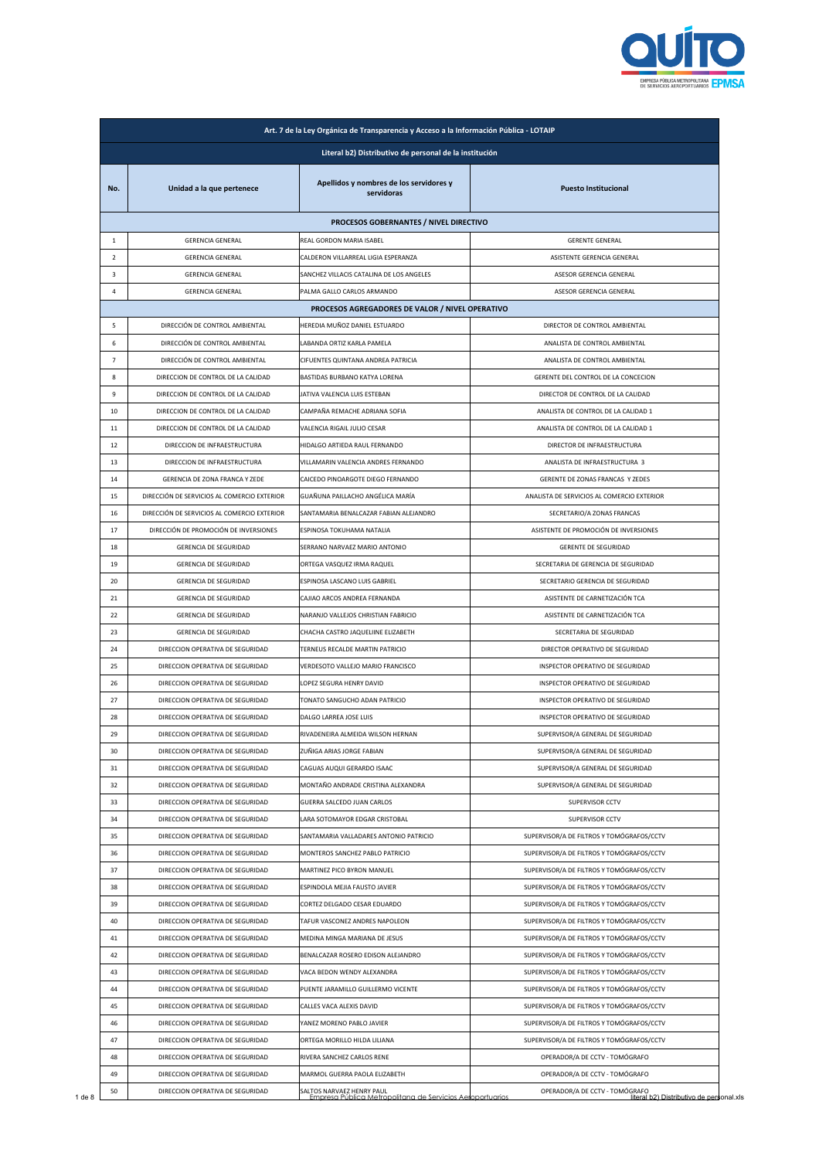

|                |                                             | Literal b2) Distributivo de personal de la institución |                                            |
|----------------|---------------------------------------------|--------------------------------------------------------|--------------------------------------------|
| No.            | Unidad a la que pertenece                   | Apellidos y nombres de los servidores y<br>servidoras  | <b>Puesto Institucional</b>                |
|                |                                             | PROCESOS GOBERNANTES / NIVEL DIRECTIVO                 |                                            |
| $\mathbf{1}$   | <b>GERENCIA GENERAL</b>                     | REAL GORDON MARIA ISABEL                               | <b>GERENTE GENERAL</b>                     |
| $\overline{2}$ | <b>GERENCIA GENERAL</b>                     | CALDERON VILLARREAL LIGIA ESPERANZA                    | ASISTENTE GERENCIA GENERAL                 |
| $\mathbf{3}$   | <b>GERENCIA GENERAL</b>                     | SANCHEZ VILLACIS CATALINA DE LOS ANGELES               | ASESOR GERENCIA GENERAL                    |
| 4              | <b>GERENCIA GENERAL</b>                     | PALMA GALLO CARLOS ARMANDO                             | ASESOR GERENCIA GENERAL                    |
|                |                                             | PROCESOS AGREGADORES DE VALOR / NIVEL OPERATIVO        |                                            |
| 5              | DIRECCIÓN DE CONTROL AMBIENTAL              | HEREDIA MUÑOZ DANIEL ESTUARDO                          | DIRECTOR DE CONTROL AMBIENTAL              |
| 6              | DIRECCIÓN DE CONTROL AMBIENTAL              | LABANDA ORTIZ KARLA PAMELA                             | ANALISTA DE CONTROL AMBIENTAL              |
| $\overline{7}$ | DIRECCIÓN DE CONTROL AMBIENTAL              | CIFUENTES QUINTANA ANDREA PATRICIA                     | ANALISTA DE CONTROL AMBIENTAL              |
| 8              | DIRECCION DE CONTROL DE LA CALIDAD          | BASTIDAS BURBANO KATYA LORENA                          | GERENTE DEL CONTROL DE LA CONCECION        |
| 9              | DIRECCION DE CONTROL DE LA CALIDAD          | JATIVA VALENCIA LUIS ESTEBAN                           | DIRECTOR DE CONTROL DE LA CALIDAD          |
| 10             | DIRECCION DE CONTROL DE LA CALIDAD          | CAMPAÑA REMACHE ADRIANA SOFIA                          | ANALISTA DE CONTROL DE LA CALIDAD 1        |
| 11             | DIRECCION DE CONTROL DE LA CALIDAD          | VALENCIA RIGAIL JULIO CESAR                            | ANALISTA DE CONTROL DE LA CALIDAD 1        |
| 12             | DIRECCION DE INFRAESTRUCTURA                | HIDALGO ARTIEDA RAUL FERNANDO                          | DIRECTOR DE INFRAESTRUCTURA                |
| 13             | DIRECCION DE INFRAESTRUCTURA                | VILLAMARIN VALENCIA ANDRES FERNANDO                    | ANALISTA DE INFRAESTRUCTURA 3              |
| 14             | GERENCIA DE ZONA FRANCA Y ZEDE              | CAICEDO PINOARGOTE DIEGO FERNANDO                      | GERENTE DE ZONAS FRANCAS Y ZEDES           |
| 15             | DIRECCIÓN DE SERVICIOS AL COMERCIO EXTERIOR | GUAÑUNA PAILLACHO ANGÉLICA MARÍA                       | ANALISTA DE SERVICIOS AL COMERCIO EXTERIOR |
| 16             | DIRECCIÓN DE SERVICIOS AL COMERCIO EXTERIOR | SANTAMARIA BENALCAZAR FABIAN ALEJANDRO                 | SECRETARIO/A ZONAS FRANCAS                 |
| 17             | DIRECCIÓN DE PROMOCIÓN DE INVERSIONES       | ESPINOSA TOKUHAMA NATALIA                              | ASISTENTE DE PROMOCIÓN DE INVERSIONES      |
| 18             | GERENCIA DE SEGURIDAD                       | SERRANO NARVAEZ MARIO ANTONIO                          | <b>GERENTE DE SEGURIDAD</b>                |
| 19             | GERENCIA DE SEGURIDAD                       | ORTEGA VASQUEZ IRMA RAQUEL                             | SECRETARIA DE GERENCIA DE SEGURIDAD        |
| 20             | GERENCIA DE SEGURIDAD                       | ESPINOSA LASCANO LUIS GABRIEL                          | SECRETARIO GERENCIA DE SEGURIDAD           |
| 21             | GERENCIA DE SEGURIDAD                       | CAJIAO ARCOS ANDREA FERNANDA                           | ASISTENTE DE CARNETIZACIÓN TCA             |
| 22             | GERENCIA DE SEGURIDAD                       | NARANJO VALLEJOS CHRISTIAN FABRICIO                    | ASISTENTE DE CARNETIZACIÓN TCA             |
| 23             | GERENCIA DE SEGURIDAD                       | CHACHA CASTRO JAQUELIINE ELIZABETH                     | SECRETARIA DE SEGURIDAD                    |
| 24             | DIRECCION OPERATIVA DE SEGURIDAD            | TERNEUS RECALDE MARTIN PATRICIO                        | DIRECTOR OPERATIVO DE SEGURIDAD            |
| 25             | DIRECCION OPERATIVA DE SEGURIDAD            | VERDESOTO VALLEJO MARIO FRANCISCO                      | INSPECTOR OPERATIVO DE SEGURIDAD           |
| 26             | DIRECCION OPERATIVA DE SEGURIDAD            | LOPEZ SEGURA HENRY DAVID                               | INSPECTOR OPERATIVO DE SEGURIDAD           |
| 27             | DIRECCION OPERATIVA DE SEGURIDAD            | TONATO SANGUCHO ADAN PATRICIO                          | INSPECTOR OPERATIVO DE SEGURIDAD           |
| 28             | DIRECCION OPERATIVA DE SEGURIDAD            | DALGO LARREA JOSE LUIS                                 | INSPECTOR OPERATIVO DE SEGURIDAD           |
| 29             | DIRECCION OPERATIVA DE SEGURIDAD            | RIVADENEIRA ALMEIDA WILSON HERNAN                      | SUPERVISOR/A GENERAL DE SEGURIDAD          |
|                |                                             | ZUÑIGA ARIAS JORGE FABIAN                              |                                            |
| 30             | DIRECCION OPERATIVA DE SEGURIDAD            |                                                        | SUPERVISOR/A GENERAL DE SEGURIDAD          |
| 31             | DIRECCION OPERATIVA DE SEGURIDAD            | CAGUAS AUQUI GERARDO ISAAC                             | SUPERVISOR/A GENERAL DE SEGURIDAD          |
| 32             | DIRECCION OPERATIVA DE SEGURIDAD            | MONTAÑO ANDRADE CRISTINA ALEXANDRA                     | SUPERVISOR/A GENERAL DE SEGURIDAD          |
| 33             | DIRECCION OPERATIVA DE SEGURIDAD            | GUERRA SALCEDO JUAN CARLOS                             | <b>SUPERVISOR CCTV</b>                     |
| 34             | DIRECCION OPERATIVA DE SEGURIDAD            | LARA SOTOMAYOR EDGAR CRISTOBAL                         | SUPERVISOR CCTV                            |
| 35             | DIRECCION OPERATIVA DE SEGURIDAD            | SANTAMARIA VALLADARES ANTONIO PATRICIO                 | SUPERVISOR/A DE FILTROS Y TOMÓGRAFOS/CCTV  |
| 36             | DIRECCION OPERATIVA DE SEGURIDAD            | MONTEROS SANCHEZ PABLO PATRICIO                        | SUPERVISOR/A DE FILTROS Y TOMÓGRAFOS/CCTV  |
| 37             | DIRECCION OPERATIVA DE SEGURIDAD            | MARTINEZ PICO BYRON MANUEL                             | SUPERVISOR/A DE FILTROS Y TOMÓGRAFOS/CCTV  |
| 38             | DIRECCION OPERATIVA DE SEGURIDAD            | ESPINDOLA MEJIA FAUSTO JAVIER                          | SUPERVISOR/A DE FILTROS Y TOMÓGRAFOS/CCTV  |
| 39             | DIRECCION OPERATIVA DE SEGURIDAD            | CORTEZ DELGADO CESAR EDUARDO                           | SUPERVISOR/A DE FILTROS Y TOMÓGRAFOS/CCTV  |
| 40             | DIRECCION OPERATIVA DE SEGURIDAD            | TAFUR VASCONEZ ANDRES NAPOLEON                         | SUPERVISOR/A DE FILTROS Y TOMÓGRAFOS/CCTV  |
| 41             | DIRECCION OPERATIVA DE SEGURIDAD            | MEDINA MINGA MARIANA DE JESUS                          | SUPERVISOR/A DE FILTROS Y TOMÓGRAFOS/CCTV  |
| 42             | DIRECCION OPERATIVA DE SEGURIDAD            | BENALCAZAR ROSERO EDISON ALEJANDRO                     | SUPERVISOR/A DE FILTROS Y TOMÓGRAFOS/CCTV  |
| 43             | DIRECCION OPERATIVA DE SEGURIDAD            | VACA BEDON WENDY ALEXANDRA                             | SUPERVISOR/A DE FILTROS Y TOMÓGRAFOS/CCTV  |
| 44             | DIRECCION OPERATIVA DE SEGURIDAD            | PUENTE JARAMILLO GUILLERMO VICENTE                     | SUPERVISOR/A DE FILTROS Y TOMÓGRAFOS/CCTV  |
| 45             | DIRECCION OPERATIVA DE SEGURIDAD            | CALLES VACA ALEXIS DAVID                               | SUPERVISOR/A DE FILTROS Y TOMÓGRAFOS/CCTV  |
| 46             | DIRECCION OPERATIVA DE SEGURIDAD            | YANEZ MORENO PABLO JAVIER                              | SUPERVISOR/A DE FILTROS Y TOMÓGRAFOS/CCTV  |
| 47             | DIRECCION OPERATIVA DE SEGURIDAD            | ORTEGA MORILLO HILDA LILIANA                           | SUPERVISOR/A DE FILTROS Y TOMÓGRAFOS/CCTV  |
| 48             | DIRECCION OPERATIVA DE SEGURIDAD            | RIVERA SANCHEZ CARLOS RENE                             | OPERADOR/A DE CCTV - TOMÓGRAFO             |
|                |                                             |                                                        |                                            |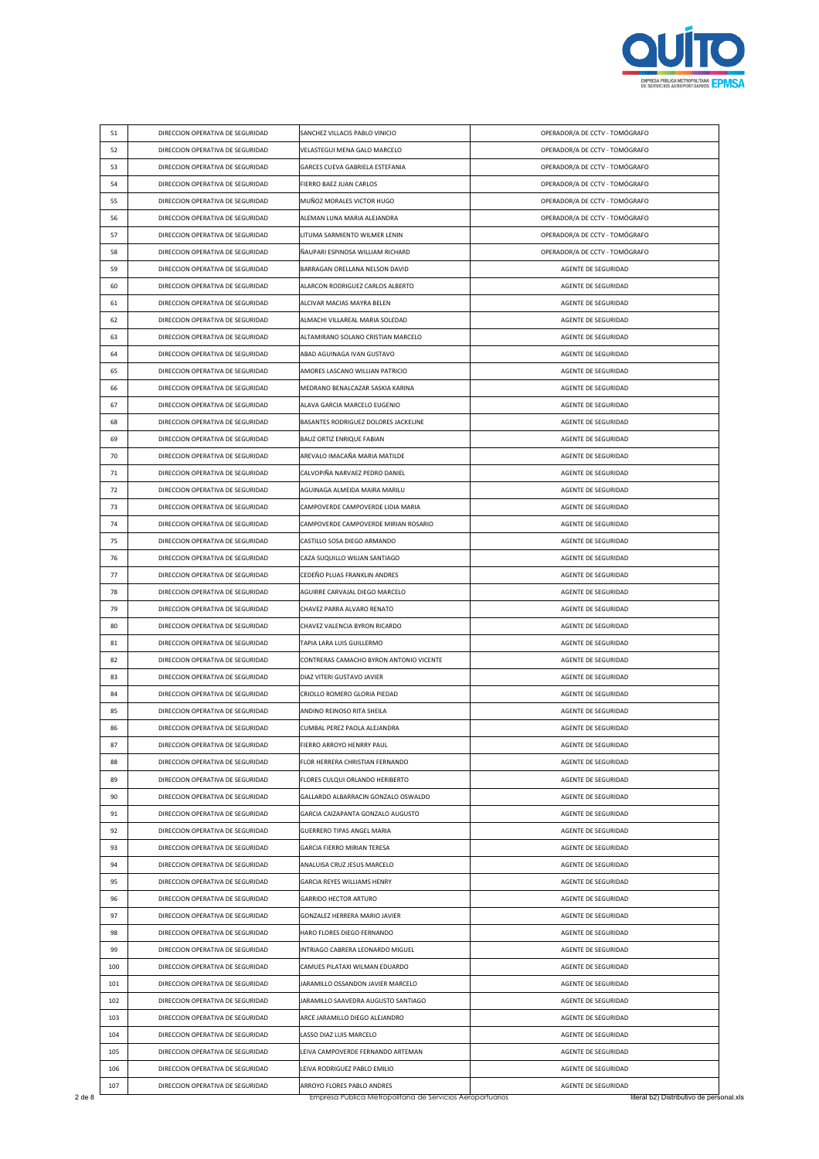

| 51         | DIRECCION OPERATIVA DE SEGURIDAD                                     | SANCHEZ VILLACIS PABLO VINICIO                                    | OPERADOR/A DE CCTV - TOMÓGRAFO             |
|------------|----------------------------------------------------------------------|-------------------------------------------------------------------|--------------------------------------------|
| 52         | DIRECCION OPERATIVA DE SEGURIDAD                                     | VELASTEGUI MENA GALO MARCELO                                      | OPERADOR/A DE CCTV - TOMÓGRAFO             |
| 53         | DIRECCION OPERATIVA DE SEGURIDAD                                     | GARCES CUEVA GABRIELA ESTEFANIA                                   | OPERADOR/A DE CCTV - TOMÓGRAFO             |
| 54         | DIRECCION OPERATIVA DE SEGURIDAD                                     | FIERRO BAEZ JUAN CARLOS                                           | OPERADOR/A DE CCTV - TOMÓGRAFO             |
| 55         | DIRECCION OPERATIVA DE SEGURIDAD                                     | MUÑOZ MORALES VICTOR HUGO                                         | OPERADOR/A DE CCTV - TOMÓGRAFO             |
| 56         | DIRECCION OPERATIVA DE SEGURIDAD                                     | ALEMAN LUNA MARIA ALEJANDRA                                       | OPERADOR/A DE CCTV - TOMÓGRAFO             |
| 57         | DIRECCION OPERATIVA DE SEGURIDAD                                     | LITUMA SARMIENTO WILMER LENIN                                     | OPERADOR/A DE CCTV - TOMÓGRAFO             |
| 58         | DIRECCION OPERATIVA DE SEGURIDAD                                     | ÑAUPARI ESPINOSA WILLIAM RICHARD                                  | OPERADOR/A DE CCTV - TOMÓGRAFO             |
| 59         | DIRECCION OPERATIVA DE SEGURIDAD                                     | BARRAGAN ORELLANA NELSON DAVID                                    | AGENTE DE SEGURIDAD                        |
| 60         | DIRECCION OPERATIVA DE SEGURIDAD                                     | ALARCON RODRIGUEZ CARLOS ALBERTO                                  | AGENTE DE SEGURIDAD                        |
| 61         | DIRECCION OPERATIVA DE SEGURIDAD                                     | ALCIVAR MACIAS MAYRA BELEN                                        | AGENTE DE SEGURIDAD                        |
| 62         | DIRECCION OPERATIVA DE SEGURIDAD                                     | ALMACHI VILLAREAL MARIA SOLEDAD                                   | AGENTE DE SEGURIDAD                        |
| 63         | DIRECCION OPERATIVA DE SEGURIDAD                                     | ALTAMIRANO SOLANO CRISTIAN MARCELO                                | AGENTE DE SEGURIDAD                        |
| 64         | DIRECCION OPERATIVA DE SEGURIDAD                                     | ABAD AGUINAGA IVAN GUSTAVO                                        | AGENTE DE SEGURIDAD                        |
| 65         | DIRECCION OPERATIVA DE SEGURIDAD                                     | AMORES LASCANO WILLIAN PATRICIO                                   | AGENTE DE SEGURIDAD                        |
| 66         | DIRECCION OPERATIVA DE SEGURIDAD                                     | MEDRANO BENALCAZAR SASKIA KARINA                                  | AGENTE DE SEGURIDAD                        |
| 67         | DIRECCION OPERATIVA DE SEGURIDAD                                     | ALAVA GARCIA MARCELO EUGENIO                                      | AGENTE DE SEGURIDAD                        |
| 68         | DIRECCION OPERATIVA DE SEGURIDAD                                     | BASANTES RODRIGUEZ DOLORES JACKELINE                              | AGENTE DE SEGURIDAD                        |
| 69         | DIRECCION OPERATIVA DE SEGURIDAD                                     | <b>BAUZ ORTIZ ENRIQUE FABIAN</b>                                  | AGENTE DE SEGURIDAD                        |
| 70         | DIRECCION OPERATIVA DE SEGURIDAD                                     | AREVALO IMACAÑA MARIA MATILDE                                     | AGENTE DE SEGURIDAD                        |
| 71         | DIRECCION OPERATIVA DE SEGURIDAD                                     | CALVOPIÑA NARVAEZ PEDRO DANIEL                                    | AGENTE DE SEGURIDAD                        |
| 72         | DIRECCION OPERATIVA DE SEGURIDAD                                     | AGUINAGA ALMEIDA MAIRA MARILU                                     | AGENTE DE SEGURIDAD                        |
| 73         | DIRECCION OPERATIVA DE SEGURIDAD                                     | CAMPOVERDE CAMPOVERDE LIDIA MARIA                                 | AGENTE DE SEGURIDAD                        |
| 74         | DIRECCION OPERATIVA DE SEGURIDAD                                     | CAMPOVERDE CAMPOVERDE MIRIAN ROSARIO                              | AGENTE DE SEGURIDAD                        |
| 75         | DIRECCION OPERATIVA DE SEGURIDAD                                     | CASTILLO SOSA DIEGO ARMANDO                                       | AGENTE DE SEGURIDAD                        |
| 76         | DIRECCION OPERATIVA DE SEGURIDAD                                     | CAZA SUQUILLO WILIAN SANTIAGO                                     | AGENTE DE SEGURIDAD                        |
| 77         | DIRECCION OPERATIVA DE SEGURIDAD                                     | CEDEÑO PLUAS FRANKLIN ANDRES                                      | AGENTE DE SEGURIDAD                        |
| 78         | DIRECCION OPERATIVA DE SEGURIDAD                                     | AGUIRRE CARVAJAL DIEGO MARCELO                                    | AGENTE DE SEGURIDAD                        |
| 79         | DIRECCION OPERATIVA DE SEGURIDAD                                     | CHAVEZ PARRA ALVARO RENATO                                        | AGENTE DE SEGURIDAD                        |
| 80         | DIRECCION OPERATIVA DE SEGURIDAD                                     | CHAVEZ VALENCIA BYRON RICARDO                                     | AGENTE DE SEGURIDAD                        |
| 81         | DIRECCION OPERATIVA DE SEGURIDAD                                     | TAPIA LARA LUIS GUILLERMO                                         | AGENTE DE SEGURIDAD                        |
| 82         | DIRECCION OPERATIVA DE SEGURIDAD                                     | CONTRERAS CAMACHO BYRON ANTONIO VICENTE                           | AGENTE DE SEGURIDAD                        |
| 83         | DIRECCION OPERATIVA DE SEGURIDAD                                     | DIAZ VITERI GUSTAVO JAVIER                                        | AGENTE DE SEGURIDAD                        |
| 84         | DIRECCION OPERATIVA DE SEGURIDAD                                     | CRIOLLO ROMERO GLORIA PIEDAD                                      | AGENTE DE SEGURIDAD                        |
| 85         | DIRECCION OPERATIVA DE SEGURIDAD                                     | ANDINO REINOSO RITA SHEILA                                        | AGENTE DE SEGURIDAD                        |
| 86         | DIRECCION OPERATIVA DE SEGURIDAD                                     | CUMBAL PEREZ PAOLA ALEJANDRA                                      | AGENTE DE SEGURIDAD                        |
| 87         | DIRECCION OPERATIVA DE SEGURIDAD                                     | FIERRO ARROYO HENRRY PAUL                                         | AGENTE DE SEGURIDAD                        |
| 88         | DIRECCION OPERATIVA DE SEGURIDAD                                     | FLOR HERRERA CHRISTIAN FERNANDO                                   | AGENTE DE SEGURIDAD                        |
| 89         | DIRECCION OPERATIVA DE SEGURIDAD                                     | FLORES CULQUI ORLANDO HERIBERTO                                   | AGENTE DE SEGURIDAD                        |
| 90         | DIRECCION OPERATIVA DE SEGURIDAD                                     | GALLARDO ALBARRACIN GONZALO OSWALDO                               | AGENTE DE SEGURIDAD                        |
| 91         | DIRECCION OPERATIVA DE SEGURIDAD                                     | GARCIA CAIZAPANTA GONZALO AUGUSTO                                 | AGENTE DE SEGURIDAD                        |
| 92         | DIRECCION OPERATIVA DE SEGURIDAD                                     | <b>GUERRERO TIPAS ANGEL MARIA</b>                                 | AGENTE DE SEGURIDAD                        |
| 93         | DIRECCION OPERATIVA DE SEGURIDAD                                     | GARCIA FIERRO MIRIAN TERESA                                       | AGENTE DE SEGURIDAD                        |
| 94         | DIRECCION OPERATIVA DE SEGURIDAD                                     | ANALUISA CRUZ JESUS MARCELO                                       | AGENTE DE SEGURIDAD                        |
| 95         | DIRECCION OPERATIVA DE SEGURIDAD                                     | GARCIA REYES WILLIAMS HENRY                                       | AGENTE DE SEGURIDAD                        |
| 96         |                                                                      | <b>GARRIDO HECTOR ARTURO</b>                                      |                                            |
| 97         | DIRECCION OPERATIVA DE SEGURIDAD                                     |                                                                   | AGENTE DE SEGURIDAD                        |
|            | DIRECCION OPERATIVA DE SEGURIDAD                                     | GONZALEZ HERRERA MARIO JAVIER                                     | AGENTE DE SEGURIDAD                        |
| 98         | DIRECCION OPERATIVA DE SEGURIDAD                                     | HARO FLORES DIEGO FERNANDO                                        | AGENTE DE SEGURIDAD                        |
| 99         | DIRECCION OPERATIVA DE SEGURIDAD                                     | INTRIAGO CABRERA LEONARDO MIGUEL                                  | AGENTE DE SEGURIDAD                        |
| 100        | DIRECCION OPERATIVA DE SEGURIDAD                                     | CAMUES PILATAXI WILMAN EDUARDO                                    | AGENTE DE SEGURIDAD                        |
| 101        | DIRECCION OPERATIVA DE SEGURIDAD                                     | JARAMILLO OSSANDON JAVIER MARCELO                                 | AGENTE DE SEGURIDAD                        |
| 102        | DIRECCION OPERATIVA DE SEGURIDAD                                     | JARAMILLO SAAVEDRA AUGUSTO SANTIAGO                               | AGENTE DE SEGURIDAD                        |
| 103        | DIRECCION OPERATIVA DE SEGURIDAD                                     | ARCE JARAMILLO DIEGO ALEJANDRO                                    | AGENTE DE SEGURIDAD                        |
| 104        | DIRECCION OPERATIVA DE SEGURIDAD                                     | LASSO DIAZ LUIS MARCELO                                           | AGENTE DE SEGURIDAD                        |
|            |                                                                      |                                                                   |                                            |
| 105<br>106 | DIRECCION OPERATIVA DE SEGURIDAD<br>DIRECCION OPERATIVA DE SEGURIDAD | LEIVA CAMPOVERDE FERNANDO ARTEMAN<br>LEIVA RODRIGUEZ PABLO EMILIO | AGENTE DE SEGURIDAD<br>AGENTE DE SEGURIDAD |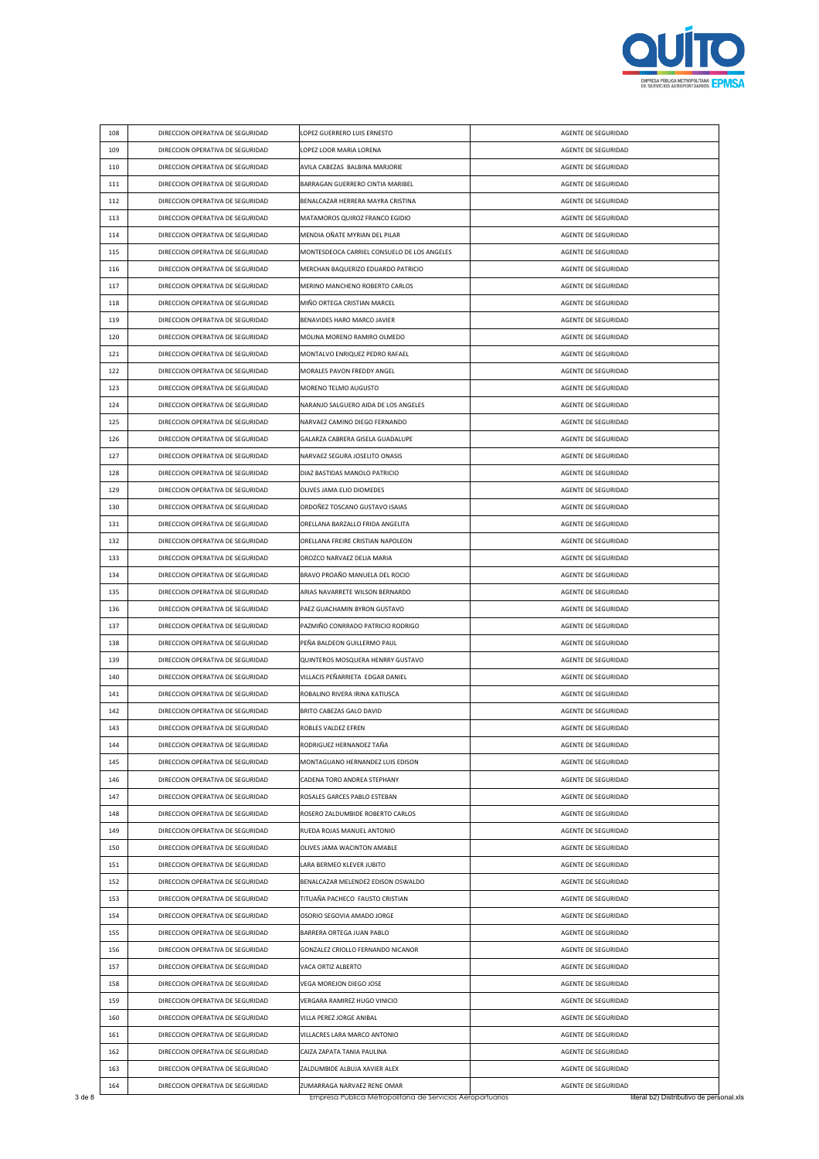

| 108 | DIRECCION OPERATIVA DE SEGURIDAD                                     | LOPEZ GUERRERO LUIS ERNESTO                                 | AGENTE DE SEGURIDAD                        |
|-----|----------------------------------------------------------------------|-------------------------------------------------------------|--------------------------------------------|
| 109 | DIRECCION OPERATIVA DE SEGURIDAD                                     | LOPEZ LOOR MARIA LORENA                                     | AGENTE DE SEGURIDAD                        |
| 110 | DIRECCION OPERATIVA DE SEGURIDAD                                     | AVILA CABEZAS BALBINA MARJORIE                              | AGENTE DE SEGURIDAD                        |
| 111 | DIRECCION OPERATIVA DE SEGURIDAD                                     | BARRAGAN GUERRERO CINTIA MARIBEL                            | AGENTE DE SEGURIDAD                        |
| 112 | DIRECCION OPERATIVA DE SEGURIDAD                                     | BENALCAZAR HERRERA MAYRA CRISTINA                           | AGENTE DE SEGURIDAD                        |
| 113 | DIRECCION OPERATIVA DE SEGURIDAD                                     | MATAMOROS QUIROZ FRANCO EGIDIO                              | AGENTE DE SEGURIDAD                        |
| 114 | DIRECCION OPERATIVA DE SEGURIDAD                                     | MENDIA OÑATE MYRIAN DEL PILAR                               | AGENTE DE SEGURIDAD                        |
| 115 | DIRECCION OPERATIVA DE SEGURIDAD                                     | MONTESDEOCA CARRIEL CONSUELO DE LOS ANGELES                 | AGENTE DE SEGURIDAD                        |
| 116 | DIRECCION OPERATIVA DE SEGURIDAD                                     | MERCHAN BAQUERIZO EDUARDO PATRICIO                          | AGENTE DE SEGURIDAD                        |
| 117 | DIRECCION OPERATIVA DE SEGURIDAD                                     | MERINO MANCHENO ROBERTO CARLOS                              | AGENTE DE SEGURIDAD                        |
| 118 | DIRECCION OPERATIVA DE SEGURIDAD                                     | MIÑO ORTEGA CRISTIAN MARCEL                                 | AGENTE DE SEGURIDAD                        |
| 119 | DIRECCION OPERATIVA DE SEGURIDAD                                     | BENAVIDES HARO MARCO JAVIER                                 | AGENTE DE SEGURIDAD                        |
| 120 | DIRECCION OPERATIVA DE SEGURIDAD                                     | MOLINA MORENO RAMIRO OLMEDO                                 | AGENTE DE SEGURIDAD                        |
| 121 | DIRECCION OPERATIVA DE SEGURIDAD                                     | MONTALVO ENRIQUEZ PEDRO RAFAEL                              | AGENTE DE SEGURIDAD                        |
| 122 | DIRECCION OPERATIVA DE SEGURIDAD                                     | MORALES PAVON FREDDY ANGEL                                  | AGENTE DE SEGURIDAD                        |
| 123 | DIRECCION OPERATIVA DE SEGURIDAD                                     | MORENO TELMO AUGUSTO                                        | AGENTE DE SEGURIDAD                        |
| 124 | DIRECCION OPERATIVA DE SEGURIDAD                                     | NARANJO SALGUERO AIDA DE LOS ANGELES                        | AGENTE DE SEGURIDAD                        |
| 125 | DIRECCION OPERATIVA DE SEGURIDAD                                     | NARVAEZ CAMINO DIEGO FERNANDO                               | AGENTE DE SEGURIDAD                        |
| 126 | DIRECCION OPERATIVA DE SEGURIDAD                                     | GALARZA CABRERA GISELA GUADALUPE                            | AGENTE DE SEGURIDAD                        |
| 127 | DIRECCION OPERATIVA DE SEGURIDAD                                     | NARVAEZ SEGURA JOSELITO ONASIS                              | AGENTE DE SEGURIDAD                        |
| 128 | DIRECCION OPERATIVA DE SEGURIDAD                                     | DIAZ BASTIDAS MANOLO PATRICIO                               | AGENTE DE SEGURIDAD                        |
| 129 | DIRECCION OPERATIVA DE SEGURIDAD                                     | OLIVES JAMA ELIO DIOMEDES                                   | AGENTE DE SEGURIDAD                        |
| 130 | DIRECCION OPERATIVA DE SEGURIDAD                                     | ORDOÑEZ TOSCANO GUSTAVO ISAIAS                              | AGENTE DE SEGURIDAD                        |
| 131 | DIRECCION OPERATIVA DE SEGURIDAD                                     | ORELLANA BARZALLO FRIDA ANGELITA                            | AGENTE DE SEGURIDAD                        |
| 132 | DIRECCION OPERATIVA DE SEGURIDAD                                     | ORELLANA FREIRE CRISTIAN NAPOLEON                           | AGENTE DE SEGURIDAD                        |
| 133 | DIRECCION OPERATIVA DE SEGURIDAD                                     | OROZCO NARVAEZ DELIA MARIA                                  | AGENTE DE SEGURIDAD                        |
| 134 | DIRECCION OPERATIVA DE SEGURIDAD                                     | BRAVO PROAÑO MANUELA DEL ROCIO                              | AGENTE DE SEGURIDAD                        |
| 135 | DIRECCION OPERATIVA DE SEGURIDAD                                     | ARIAS NAVARRETE WILSON BERNARDO                             | AGENTE DE SEGURIDAD                        |
| 136 | DIRECCION OPERATIVA DE SEGURIDAD                                     | PAEZ GUACHAMIN BYRON GUSTAVO                                | AGENTE DE SEGURIDAD                        |
| 137 | DIRECCION OPERATIVA DE SEGURIDAD                                     | PAZMIÑO CONRRADO PATRICIO RODRIGO                           | AGENTE DE SEGURIDAD                        |
| 138 | DIRECCION OPERATIVA DE SEGURIDAD                                     | PEÑA BALDEON GUILLERMO PAUL                                 | AGENTE DE SEGURIDAD                        |
| 139 | DIRECCION OPERATIVA DE SEGURIDAD                                     | QUINTEROS MOSQUERA HENRRY GUSTAVO                           | AGENTE DE SEGURIDAD                        |
| 140 | DIRECCION OPERATIVA DE SEGURIDAD                                     | VILLACIS PEÑARRIETA EDGAR DANIEL                            | AGENTE DE SEGURIDAD                        |
| 141 | DIRECCION OPERATIVA DE SEGURIDAD                                     | ROBALINO RIVERA IRINA KATIUSCA                              | AGENTE DE SEGURIDAD                        |
| 142 | DIRECCION OPERATIVA DE SEGURIDAD                                     | BRITO CABEZAS GALO DAVID                                    | AGENTE DE SEGURIDAD                        |
| 143 | DIRECCION OPERATIVA DE SEGURIDAD                                     | ROBLES VALDEZ EFREN                                         | AGENTE DE SEGURIDAD                        |
| 144 | DIRECCION OPERATIVA DE SEGURIDAD                                     | RODRIGUEZ HERNANDEZ TANA                                    | AGENTE DE SEGURIDAD                        |
| 145 | DIRECCION OPERATIVA DE SEGURIDAD                                     | MONTAGUANO HERNANDEZ LUIS EDISON                            | AGENTE DE SEGURIDAD                        |
| 146 | DIRECCION OPERATIVA DE SEGURIDAD                                     | CADENA TORO ANDREA STEPHANY                                 | AGENTE DE SEGURIDAD                        |
| 147 | DIRECCION OPERATIVA DE SEGURIDAD                                     | ROSALES GARCES PABLO ESTEBAN                                | AGENTE DE SEGURIDAD                        |
| 148 | DIRECCION OPERATIVA DE SEGURIDAD                                     | ROSERO ZALDUMBIDE ROBERTO CARLOS                            | AGENTE DE SEGURIDAD                        |
| 149 | DIRECCION OPERATIVA DE SEGURIDAD                                     | RUEDA ROJAS MANUEL ANTONIO                                  | AGENTE DE SEGURIDAD                        |
| 150 | DIRECCION OPERATIVA DE SEGURIDAD                                     | OLIVES JAMA WACINTON AMABLE                                 | AGENTE DE SEGURIDAD                        |
| 151 | DIRECCION OPERATIVA DE SEGURIDAD                                     | LARA BERMEO KLEVER JUBITO                                   | AGENTE DE SEGURIDAD                        |
| 152 | DIRECCION OPERATIVA DE SEGURIDAD                                     | BENALCAZAR MELENDEZ EDISON OSWALDO                          | AGENTE DE SEGURIDAD                        |
| 153 | DIRECCION OPERATIVA DE SEGURIDAD                                     | TITUAÑA PACHECO FAUSTO CRISTIAN                             | AGENTE DE SEGURIDAD                        |
| 154 | DIRECCION OPERATIVA DE SEGURIDAD                                     | OSORIO SEGOVIA AMADO JORGE                                  | AGENTE DE SEGURIDAD                        |
| 155 | DIRECCION OPERATIVA DE SEGURIDAD                                     | BARRERA ORTEGA JUAN PABLO                                   | AGENTE DE SEGURIDAD                        |
| 156 | DIRECCION OPERATIVA DE SEGURIDAD                                     | GONZALEZ CRIOLLO FERNANDO NICANOR                           | AGENTE DE SEGURIDAD                        |
| 157 | DIRECCION OPERATIVA DE SEGURIDAD                                     | VACA ORTIZ ALBERTO                                          | AGENTE DE SEGURIDAD                        |
| 158 | DIRECCION OPERATIVA DE SEGURIDAD                                     | VEGA MOREJON DIEGO JOSE                                     | AGENTE DE SEGURIDAD                        |
| 159 | DIRECCION OPERATIVA DE SEGURIDAD                                     | VERGARA RAMIREZ HUGO VINICIO                                | AGENTE DE SEGURIDAD                        |
| 160 | DIRECCION OPERATIVA DE SEGURIDAD                                     | VILLA PEREZ JORGE ANIBAL                                    |                                            |
| 161 |                                                                      | VILLACRES LARA MARCO ANTONIO                                | AGENTE DE SEGURIDAD                        |
|     | DIRECCION OPERATIVA DE SEGURIDAD                                     |                                                             | AGENTE DE SEGURIDAD                        |
| 162 | DIRECCION OPERATIVA DE SEGURIDAD<br>DIRECCION OPERATIVA DE SEGURIDAD | CAIZA ZAPATA TANIA PAULINA<br>ZALDUMBIDE ALBUJA XAVIER ALEX | AGENTE DE SEGURIDAD<br>AGENTE DE SEGURIDAD |
| 163 |                                                                      |                                                             |                                            |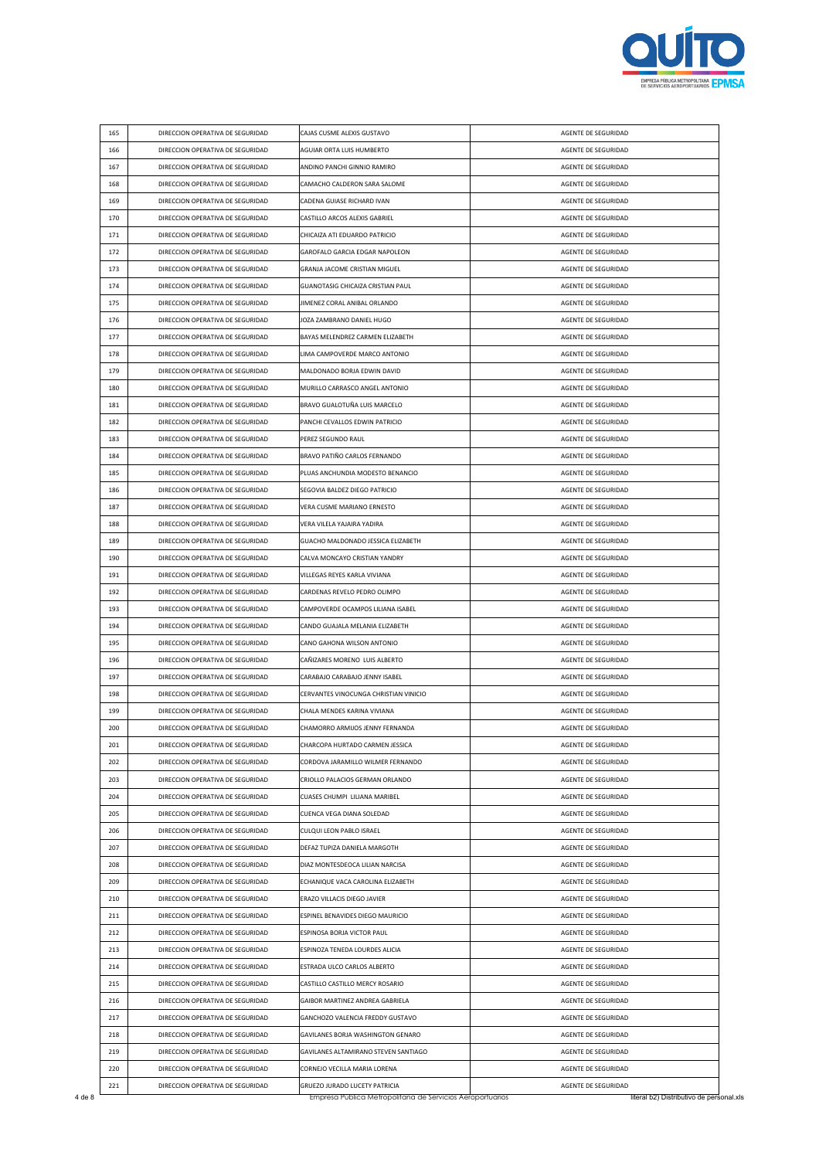

| 165 | DIRECCION OPERATIVA DE SEGURIDAD | CAJAS CUSME ALEXIS GUSTAVO            | AGENTE DE SEGURIDAD |
|-----|----------------------------------|---------------------------------------|---------------------|
| 166 | DIRECCION OPERATIVA DE SEGURIDAD | AGUIAR ORTA LUIS HUMBERTO             | AGENTE DE SEGURIDAD |
| 167 | DIRECCION OPERATIVA DE SEGURIDAD | ANDINO PANCHI GINNIO RAMIRO           | AGENTE DE SEGURIDAD |
| 168 | DIRECCION OPERATIVA DE SEGURIDAD | CAMACHO CALDERON SARA SALOME          | AGENTE DE SEGURIDAD |
| 169 | DIRECCION OPERATIVA DE SEGURIDAD | CADENA GUIASE RICHARD IVAN            | AGENTE DE SEGURIDAD |
| 170 | DIRECCION OPERATIVA DE SEGURIDAD | CASTILLO ARCOS ALEXIS GABRIEL         | AGENTE DE SEGURIDAD |
| 171 | DIRECCION OPERATIVA DE SEGURIDAD | CHICAIZA ATI EDUARDO PATRICIO         | AGENTE DE SEGURIDAD |
| 172 | DIRECCION OPERATIVA DE SEGURIDAD | GAROFALO GARCIA EDGAR NAPOLEON        | AGENTE DE SEGURIDAD |
| 173 | DIRECCION OPERATIVA DE SEGURIDAD | GRANJA JACOME CRISTIAN MIGUEL         | AGENTE DE SEGURIDAD |
| 174 | DIRECCION OPERATIVA DE SEGURIDAD | GUANOTASIG CHICAIZA CRISTIAN PAUL     | AGENTE DE SEGURIDAD |
| 175 | DIRECCION OPERATIVA DE SEGURIDAD | JIMENEZ CORAL ANIBAL ORLANDO          | AGENTE DE SEGURIDAD |
| 176 | DIRECCION OPERATIVA DE SEGURIDAD | JOZA ZAMBRANO DANIEL HUGO             | AGENTE DE SEGURIDAD |
| 177 | DIRECCION OPERATIVA DE SEGURIDAD | BAYAS MELENDREZ CARMEN ELIZABETH      | AGENTE DE SEGURIDAD |
| 178 | DIRECCION OPERATIVA DE SEGURIDAD | LIMA CAMPOVERDE MARCO ANTONIO         | AGENTE DE SEGURIDAD |
| 179 | DIRECCION OPERATIVA DE SEGURIDAD | MALDONADO BORJA EDWIN DAVID           | AGENTE DE SEGURIDAD |
| 180 | DIRECCION OPERATIVA DE SEGURIDAD | MURILLO CARRASCO ANGEL ANTONIO        | AGENTE DE SEGURIDAD |
| 181 | DIRECCION OPERATIVA DE SEGURIDAD | BRAVO GUALOTUÑA LUIS MARCELO          | AGENTE DE SEGURIDAD |
| 182 | DIRECCION OPERATIVA DE SEGURIDAD | PANCHI CEVALLOS EDWIN PATRICIO        | AGENTE DE SEGURIDAD |
| 183 | DIRECCION OPERATIVA DE SEGURIDAD | PEREZ SEGUNDO RAUL                    | AGENTE DE SEGURIDAD |
| 184 | DIRECCION OPERATIVA DE SEGURIDAD | BRAVO PATIÑO CARLOS FERNANDO          | AGENTE DE SEGURIDAD |
| 185 | DIRECCION OPERATIVA DE SEGURIDAD | PLUAS ANCHUNDIA MODESTO BENANCIO      | AGENTE DE SEGURIDAD |
| 186 | DIRECCION OPERATIVA DE SEGURIDAD | SEGOVIA BALDEZ DIEGO PATRICIO         | AGENTE DE SEGURIDAD |
| 187 | DIRECCION OPERATIVA DE SEGURIDAD | VERA CUSME MARIANO ERNESTO            | AGENTE DE SEGURIDAD |
| 188 | DIRECCION OPERATIVA DE SEGURIDAD | VERA VILELA YAJAIRA YADIRA            | AGENTE DE SEGURIDAD |
| 189 | DIRECCION OPERATIVA DE SEGURIDAD | GUACHO MALDONADO JESSICA ELIZABETH    | AGENTE DE SEGURIDAD |
| 190 | DIRECCION OPERATIVA DE SEGURIDAD | CALVA MONCAYO CRISTIAN YANDRY         | AGENTE DE SEGURIDAD |
| 191 | DIRECCION OPERATIVA DE SEGURIDAD | VILLEGAS REYES KARLA VIVIANA          | AGENTE DE SEGURIDAD |
| 192 | DIRECCION OPERATIVA DE SEGURIDAD | CARDENAS REVELO PEDRO OLIMPO          | AGENTE DE SEGURIDAD |
| 193 | DIRECCION OPERATIVA DE SEGURIDAD | CAMPOVERDE OCAMPOS LILIANA ISABEL     | AGENTE DE SEGURIDAD |
| 194 | DIRECCION OPERATIVA DE SEGURIDAD | CANDO GUAJALA MELANIA ELIZABETH       | AGENTE DE SEGURIDAD |
| 195 | DIRECCION OPERATIVA DE SEGURIDAD | CANO GAHONA WILSON ANTONIO            | AGENTE DE SEGURIDAD |
| 196 | DIRECCION OPERATIVA DE SEGURIDAD | CAÑIZARES MORENO LUIS ALBERTO         | AGENTE DE SEGURIDAD |
| 197 | DIRECCION OPERATIVA DE SEGURIDAD | CARABAJO CARABAJO JENNY ISABEL        | AGENTE DE SEGURIDAD |
| 198 | DIRECCION OPERATIVA DE SEGURIDAD | CERVANTES VINOCUNGA CHRISTIAN VINICIO | AGENTE DE SEGURIDAD |
| 199 | DIRECCION OPERATIVA DE SEGURIDAD | CHALA MENDES KARINA VIVIANA           | AGENTE DE SEGURIDAD |
| 200 | DIRECCION OPERATIVA DE SEGURIDAD | CHAMORRO ARMIJOS JENNY FERNANDA       | AGENTE DE SEGURIDAD |
| 201 | DIRECCION OPERATIVA DE SEGURIDAD | CHARCOPA HURTADO CARMEN JESSICA       | AGENTE DE SEGURIDAD |
| 202 | DIRECCION OPERATIVA DE SEGURIDAD | CORDOVA JARAMILLO WILMER FERNANDO     | AGENTE DE SEGURIDAD |
| 203 | DIRECCION OPERATIVA DE SEGURIDAD | CRIOLLO PALACIOS GERMAN ORLANDO       | AGENTE DE SEGURIDAD |
| 204 | DIRECCION OPERATIVA DE SEGURIDAD | CUASES CHUMPI LILIANA MARIBEL         | AGENTE DE SEGURIDAD |
| 205 | DIRECCION OPERATIVA DE SEGURIDAD | CUENCA VEGA DIANA SOLEDAD             | AGENTE DE SEGURIDAD |
| 206 | DIRECCION OPERATIVA DE SEGURIDAD | CULQUI LEON PABLO ISRAEL              | AGENTE DE SEGURIDAD |
| 207 | DIRECCION OPERATIVA DE SEGURIDAD | DEFAZ TUPIZA DANIELA MARGOTH          | AGENTE DE SEGURIDAD |
| 208 | DIRECCION OPERATIVA DE SEGURIDAD | DIAZ MONTESDEOCA LILIAN NARCISA       | AGENTE DE SEGURIDAD |
| 209 | DIRECCION OPERATIVA DE SEGURIDAD | ECHANIQUE VACA CAROLINA ELIZABETH     | AGENTE DE SEGURIDAD |
| 210 | DIRECCION OPERATIVA DE SEGURIDAD | ERAZO VILLACIS DIEGO JAVIER           | AGENTE DE SEGURIDAD |
| 211 | DIRECCION OPERATIVA DE SEGURIDAD | ESPINEL BENAVIDES DIEGO MAURICIO      | AGENTE DE SEGURIDAD |
| 212 | DIRECCION OPERATIVA DE SEGURIDAD | ESPINOSA BORJA VICTOR PAUL            | AGENTE DE SEGURIDAD |
| 213 | DIRECCION OPERATIVA DE SEGURIDAD | ESPINOZA TENEDA LOURDES ALICIA        | AGENTE DE SEGURIDAD |
| 214 | DIRECCION OPERATIVA DE SEGURIDAD | ESTRADA ULCO CARLOS ALBERTO           | AGENTE DE SEGURIDAD |
|     |                                  |                                       |                     |
| 215 | DIRECCION OPERATIVA DE SEGURIDAD | CASTILLO CASTILLO MERCY ROSARIO       | AGENTE DE SEGURIDAD |
| 216 | DIRECCION OPERATIVA DE SEGURIDAD | GAIBOR MARTINEZ ANDREA GABRIELA       | AGENTE DE SEGURIDAD |
| 217 | DIRECCION OPERATIVA DE SEGURIDAD | GANCHOZO VALENCIA FREDDY GUSTAVO      | AGENTE DE SEGURIDAD |
| 218 | DIRECCION OPERATIVA DE SEGURIDAD | GAVILANES BORJA WASHINGTON GENARO     | AGENTE DE SEGURIDAD |
| 219 | DIRECCION OPERATIVA DE SEGURIDAD | GAVILANES ALTAMIRANO STEVEN SANTIAGO  | AGENTE DE SEGURIDAD |
| 220 | DIRECCION OPERATIVA DE SEGURIDAD | CORNEJO VECILLA MARIA LORENA          | AGENTE DE SEGURIDAD |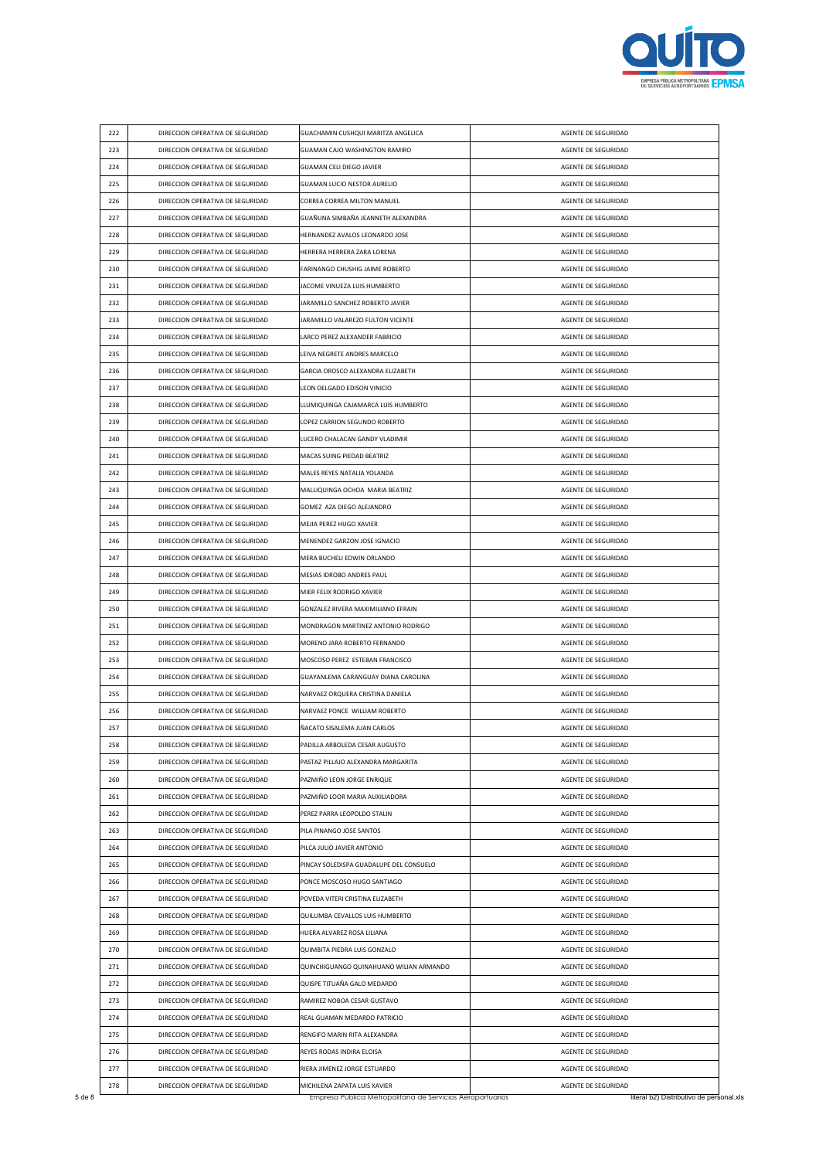

| 222 | DIRECCION OPERATIVA DE SEGURIDAD | GUACHAMIN CUSHQUI MARITZA ANGELICA      | AGENTE DE SEGURIDAD |
|-----|----------------------------------|-----------------------------------------|---------------------|
| 223 | DIRECCION OPERATIVA DE SEGURIDAD | GUAMAN CAJO WASHINGTON RAMIRO           | AGENTE DE SEGURIDAD |
| 224 | DIRECCION OPERATIVA DE SEGURIDAD | GUAMAN CELI DIEGO JAVIER                | AGENTE DE SEGURIDAD |
| 225 | DIRECCION OPERATIVA DE SEGURIDAD | GUAMAN LUCIO NESTOR AURELIO             | AGENTE DE SEGURIDAD |
| 226 | DIRECCION OPERATIVA DE SEGURIDAD | CORREA CORREA MILTON MANUEL             | AGENTE DE SEGURIDAD |
| 227 | DIRECCION OPERATIVA DE SEGURIDAD | GUAÑUNA SIMBAÑA JEANNETH ALEXANDRA      | AGENTE DE SEGURIDAD |
| 228 | DIRECCION OPERATIVA DE SEGURIDAD | HERNANDEZ AVALOS LEONARDO JOSE          | AGENTE DE SEGURIDAD |
| 229 | DIRECCION OPERATIVA DE SEGURIDAD | HERRERA HERRERA ZARA LORENA             | AGENTE DE SEGURIDAD |
| 230 | DIRECCION OPERATIVA DE SEGURIDAD | FARINANGO CHUSHIG JAIME ROBERTO         | AGENTE DE SEGURIDAD |
| 231 | DIRECCION OPERATIVA DE SEGURIDAD | JACOME VINUEZA LUIS HUMBERTO            | AGENTE DE SEGURIDAD |
| 232 | DIRECCION OPERATIVA DE SEGURIDAD | JARAMILLO SANCHEZ ROBERTO JAVIER        | AGENTE DE SEGURIDAD |
| 233 | DIRECCION OPERATIVA DE SEGURIDAD | JARAMILLO VALAREZO FULTON VICENTE       | AGENTE DE SEGURIDAD |
| 234 | DIRECCION OPERATIVA DE SEGURIDAD | LARCO PEREZ ALEXANDER FABRICIO          | AGENTE DE SEGURIDAD |
| 235 | DIRECCION OPERATIVA DE SEGURIDAD | LEIVA NEGRETE ANDRES MARCELO            | AGENTE DE SEGURIDAD |
| 236 | DIRECCION OPERATIVA DE SEGURIDAD | GARCIA OROSCO ALEXANDRA ELIZABETH       | AGENTE DE SEGURIDAD |
| 237 | DIRECCION OPERATIVA DE SEGURIDAD | LEON DELGADO EDISON VINICIO             | AGENTE DE SEGURIDAD |
| 238 | DIRECCION OPERATIVA DE SEGURIDAD | LLUMIQUINGA CAJAMARCA LUIS HUMBERTO     | AGENTE DE SEGURIDAD |
| 239 | DIRECCION OPERATIVA DE SEGURIDAD | LOPEZ CARRION SEGUNDO ROBERTO           | AGENTE DE SEGURIDAD |
| 240 | DIRECCION OPERATIVA DE SEGURIDAD | LUCERO CHALACAN GANDY VLADIMIR          | AGENTE DE SEGURIDAD |
| 241 | DIRECCION OPERATIVA DE SEGURIDAD | MACAS SUING PIEDAD BEATRIZ              | AGENTE DE SEGURIDAD |
| 242 | DIRECCION OPERATIVA DE SEGURIDAD | MALES REYES NATALIA YOLANDA             | AGENTE DE SEGURIDAD |
| 243 | DIRECCION OPERATIVA DE SEGURIDAD | MALLIQUINGA OCHOA MARIA BEATRIZ         | AGENTE DE SEGURIDAD |
| 244 | DIRECCION OPERATIVA DE SEGURIDAD | GOMEZ AZA DIEGO ALEJANDRO               | AGENTE DE SEGURIDAD |
| 245 | DIRECCION OPERATIVA DE SEGURIDAD | MEJIA PEREZ HUGO XAVIER                 | AGENTE DE SEGURIDAD |
| 246 | DIRECCION OPERATIVA DE SEGURIDAD | MENENDEZ GARZON JOSE IGNACIO            | AGENTE DE SEGURIDAD |
| 247 | DIRECCION OPERATIVA DE SEGURIDAD | MERA BUCHELI EDWIN ORLANDO              | AGENTE DE SEGURIDAD |
| 248 | DIRECCION OPERATIVA DE SEGURIDAD | MESIAS IDROBO ANDRES PAUL               | AGENTE DE SEGURIDAD |
| 249 | DIRECCION OPERATIVA DE SEGURIDAD | MIER FELIX RODRIGO XAVIER               | AGENTE DE SEGURIDAD |
| 250 | DIRECCION OPERATIVA DE SEGURIDAD | GONZALEZ RIVERA MAXIMILIANO EFRAIN      | AGENTE DE SEGURIDAD |
| 251 | DIRECCION OPERATIVA DE SEGURIDAD | MONDRAGON MARTINEZ ANTONIO RODRIGO      | AGENTE DE SEGURIDAD |
| 252 | DIRECCION OPERATIVA DE SEGURIDAD | MORENO JARA ROBERTO FERNANDO            | AGENTE DE SEGURIDAD |
| 253 | DIRECCION OPERATIVA DE SEGURIDAD | MOSCOSO PEREZ ESTEBAN FRANCISCO         | AGENTE DE SEGURIDAD |
| 254 | DIRECCION OPERATIVA DE SEGURIDAD | GUAYANLEMA CARANGUAY DIANA CAROLINA     | AGENTE DE SEGURIDAD |
| 255 | DIRECCION OPERATIVA DE SEGURIDAD | NARVAEZ ORQUERA CRISTINA DANIELA        | AGENTE DE SEGURIDAD |
| 256 | DIRECCION OPERATIVA DE SEGURIDAD | NARVAEZ PONCE WILLIAM ROBERTO           | AGENTE DE SEGURIDAD |
| 257 | DIRECCION OPERATIVA DE SEGURIDAD | ÑACATO SISALEMA JUAN CARLOS             | AGENTE DE SEGURIDAD |
|     |                                  |                                         |                     |
| 258 | DIRECCION OPERATIVA DE SEGURIDAD | PADILLA ARBOLEDA CESAR AUGUSTO          | AGENTE DE SEGURIDAD |
| 259 | DIRECCION OPERATIVA DE SEGURIDAD | PASTAZ PILLAJO ALEXANDRA MARGARITA      | AGENTE DE SEGURIDAD |
| 260 | DIRECCION OPERATIVA DE SEGURIDAD | PAZMIÑO LEON JORGE ENRIQUE              | AGENTE DE SEGURIDAD |
| 261 | DIRECCION OPERATIVA DE SEGURIDAD | PAZMIÑO LOOR MARIA AUXILIADORA          | AGENTE DE SEGURIDAD |
| 262 | DIRECCION OPERATIVA DE SEGURIDAD | PEREZ PARRA LEOPOLDO STALIN             | AGENTE DE SEGURIDAD |
| 263 | DIRECCION OPERATIVA DE SEGURIDAD | PILA PINANGO JOSE SANTOS                | AGENTE DE SEGURIDAD |
| 264 | DIRECCION OPERATIVA DE SEGURIDAD | PILCA JULIO JAVIER ANTONIO              | AGENTE DE SEGURIDAD |
| 265 | DIRECCION OPERATIVA DE SEGURIDAD | PINCAY SOLEDISPA GUADALUPE DEL CONSUELO | AGENTE DE SEGURIDAD |
| 266 | DIRECCION OPERATIVA DE SEGURIDAD | PONCE MOSCOSO HUGO SANTIAGO             | AGENTE DE SEGURIDAD |
| 267 | DIRECCION OPERATIVA DE SEGURIDAD | POVEDA VITERI CRISTINA ELIZABETH        | AGENTE DE SEGURIDAD |
| 268 | DIRECCION OPERATIVA DE SEGURIDAD | QUILUMBA CEVALLOS LUIS HUMBERTO         | AGENTE DE SEGURIDAD |
| 269 | DIRECCION OPERATIVA DE SEGURIDAD | HUERA ALVAREZ ROSA LILIANA              | AGENTE DE SEGURIDAD |
| 270 | DIRECCION OPERATIVA DE SEGURIDAD | QUIMBITA PIEDRA LUIS GONZALO            | AGENTE DE SEGURIDAD |
| 271 | DIRECCION OPERATIVA DE SEGURIDAD | QUINCHIGUANGO QUINAHUANO WILIAN ARMANDO | AGENTE DE SEGURIDAD |
| 272 | DIRECCION OPERATIVA DE SEGURIDAD | QUISPE TITUAÑA GALO MEDARDO             | AGENTE DE SEGURIDAD |
| 273 | DIRECCION OPERATIVA DE SEGURIDAD | RAMIREZ NOBOA CESAR GUSTAVO             | AGENTE DE SEGURIDAD |
| 274 | DIRECCION OPERATIVA DE SEGURIDAD | REAL GUAMAN MEDARDO PATRICIO            | AGENTE DE SEGURIDAD |
|     |                                  | RENGIFO MARIN RITA ALEXANDRA            | AGENTE DE SEGURIDAD |
| 275 | DIRECCION OPERATIVA DE SEGURIDAD |                                         |                     |
| 276 | DIRECCION OPERATIVA DE SEGURIDAD | REYES RODAS INDIRA ELOISA               | AGENTE DE SEGURIDAD |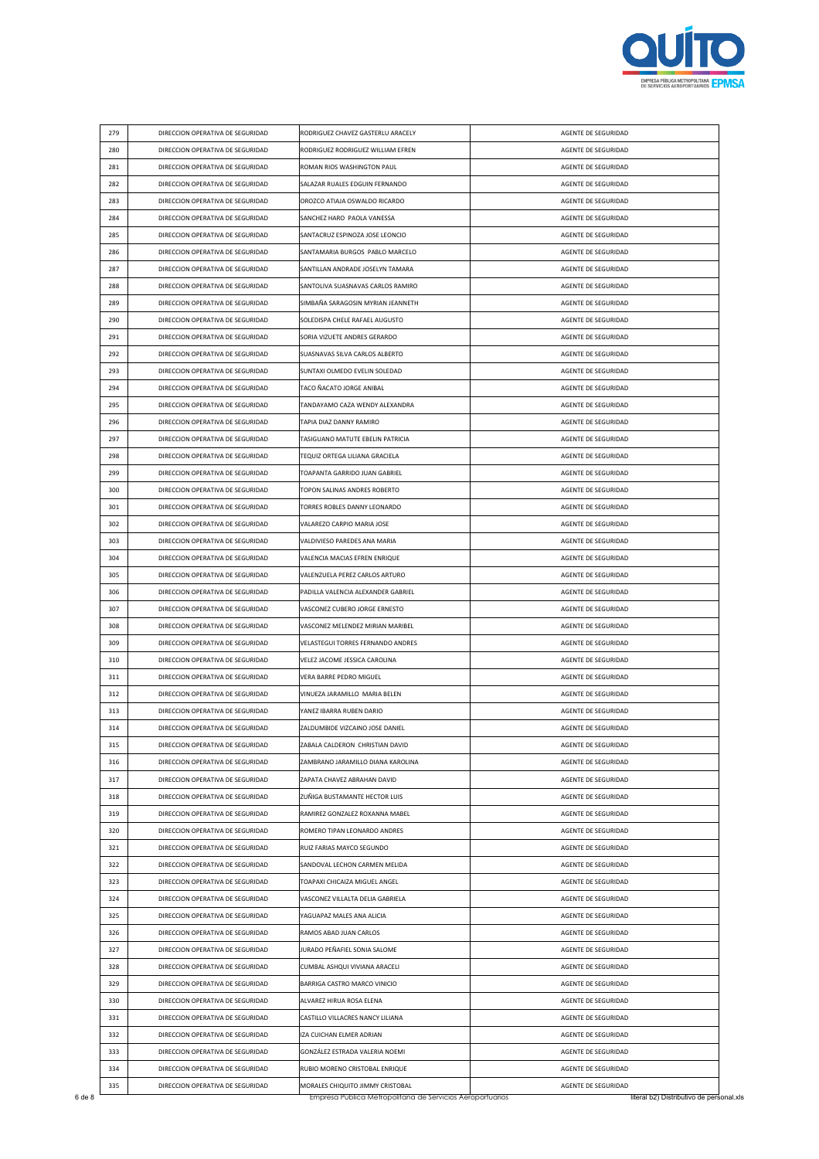

| 279 | DIRECCION OPERATIVA DE SEGURIDAD                                     | RODRIGUEZ CHAVEZ GASTERLU ARACELY  | AGENTE DE SEGURIDAD |
|-----|----------------------------------------------------------------------|------------------------------------|---------------------|
| 280 | DIRECCION OPERATIVA DE SEGURIDAD                                     | RODRIGUEZ RODRIGUEZ WILLIAM EFREN  | AGENTE DE SEGURIDAD |
| 281 | DIRECCION OPERATIVA DE SEGURIDAD                                     | ROMAN RIOS WASHINGTON PAUL         | AGENTE DE SEGURIDAD |
| 282 | DIRECCION OPERATIVA DE SEGURIDAD                                     | SALAZAR RUALES EDGUIN FERNANDO     | AGENTE DE SEGURIDAD |
| 283 | DIRECCION OPERATIVA DE SEGURIDAD                                     | OROZCO ATIAJA OSWALDO RICARDO      | AGENTE DE SEGURIDAD |
| 284 | DIRECCION OPERATIVA DE SEGURIDAD                                     | SANCHEZ HARO PAOLA VANESSA         | AGENTE DE SEGURIDAD |
| 285 | DIRECCION OPERATIVA DE SEGURIDAD                                     | SANTACRUZ ESPINOZA JOSE LEONCIO    | AGENTE DE SEGURIDAD |
| 286 | DIRECCION OPERATIVA DE SEGURIDAD                                     | SANTAMARIA BURGOS PABLO MARCELO    | AGENTE DE SEGURIDAD |
| 287 | DIRECCION OPERATIVA DE SEGURIDAD                                     | SANTILLAN ANDRADE JOSELYN TAMARA   | AGENTE DE SEGURIDAD |
| 288 | DIRECCION OPERATIVA DE SEGURIDAD                                     | SANTOLIVA SUASNAVAS CARLOS RAMIRO  | AGENTE DE SEGURIDAD |
| 289 | DIRECCION OPERATIVA DE SEGURIDAD                                     | SIMBAÑA SARAGOSIN MYRIAN JEANNETH  | AGENTE DE SEGURIDAD |
| 290 | DIRECCION OPERATIVA DE SEGURIDAD                                     | SOLEDISPA CHELE RAFAEL AUGUSTO     | AGENTE DE SEGURIDAD |
| 291 | DIRECCION OPERATIVA DE SEGURIDAD                                     | SORIA VIZUETE ANDRES GERARDO       | AGENTE DE SEGURIDAD |
| 292 | DIRECCION OPERATIVA DE SEGURIDAD                                     | SUASNAVAS SILVA CARLOS ALBERTO     | AGENTE DE SEGURIDAD |
| 293 | DIRECCION OPERATIVA DE SEGURIDAD                                     | SUNTAXI OLMEDO EVELIN SOLEDAD      | AGENTE DE SEGURIDAD |
| 294 | DIRECCION OPERATIVA DE SEGURIDAD                                     | TACO ÑACATO JORGE ANIBAL           | AGENTE DE SEGURIDAD |
| 295 | DIRECCION OPERATIVA DE SEGURIDAD                                     | TANDAYAMO CAZA WENDY ALEXANDRA     | AGENTE DE SEGURIDAD |
| 296 | DIRECCION OPERATIVA DE SEGURIDAD                                     | TAPIA DIAZ DANNY RAMIRO            | AGENTE DE SEGURIDAD |
| 297 | DIRECCION OPERATIVA DE SEGURIDAD                                     | TASIGUANO MATUTE EBELIN PATRICIA   | AGENTE DE SEGURIDAD |
| 298 | DIRECCION OPERATIVA DE SEGURIDAD                                     | TEQUIZ ORTEGA LILIANA GRACIELA     | AGENTE DE SEGURIDAD |
| 299 | DIRECCION OPERATIVA DE SEGURIDAD                                     | TOAPANTA GARRIDO JUAN GABRIEL      | AGENTE DE SEGURIDAD |
| 300 | DIRECCION OPERATIVA DE SEGURIDAD                                     | TOPON SALINAS ANDRES ROBERTO       | AGENTE DE SEGURIDAD |
| 301 | DIRECCION OPERATIVA DE SEGURIDAD                                     | TORRES ROBLES DANNY LEONARDO       | AGENTE DE SEGURIDAD |
| 302 | DIRECCION OPERATIVA DE SEGURIDAD                                     | VALAREZO CARPIO MARIA JOSE         | AGENTE DE SEGURIDAD |
| 303 | DIRECCION OPERATIVA DE SEGURIDAD                                     | VALDIVIESO PAREDES ANA MARIA       | AGENTE DE SEGURIDAD |
| 304 | DIRECCION OPERATIVA DE SEGURIDAD                                     | VALENCIA MACIAS EFREN ENRIQUE      | AGENTE DE SEGURIDAD |
| 305 | DIRECCION OPERATIVA DE SEGURIDAD                                     | VALENZUELA PEREZ CARLOS ARTURO     | AGENTE DE SEGURIDAD |
| 306 | DIRECCION OPERATIVA DE SEGURIDAD                                     | PADILLA VALENCIA ALEXANDER GABRIEL | AGENTE DE SEGURIDAD |
| 307 | DIRECCION OPERATIVA DE SEGURIDAD                                     | VASCONEZ CUBERO JORGE ERNESTO      | AGENTE DE SEGURIDAD |
| 308 | DIRECCION OPERATIVA DE SEGURIDAD                                     | VASCONEZ MELENDEZ MIRIAN MARIBEL   | AGENTE DE SEGURIDAD |
| 309 | DIRECCION OPERATIVA DE SEGURIDAD                                     | VELASTEGUI TORRES FERNANDO ANDRES  | AGENTE DE SEGURIDAD |
|     |                                                                      | VELEZ JACOME JESSICA CAROLINA      |                     |
| 310 | DIRECCION OPERATIVA DE SEGURIDAD                                     |                                    | AGENTE DE SEGURIDAD |
| 311 | DIRECCION OPERATIVA DE SEGURIDAD<br>DIRECCION OPERATIVA DE SEGURIDAD | VERA BARRE PEDRO MIGUEL            | AGENTE DE SEGURIDAD |
| 312 |                                                                      | VINUEZA JARAMILLO MARIA BELEN      | AGENTE DE SEGURIDAD |
| 313 | DIRECCION OPERATIVA DE SEGURIDAD                                     | YANEZ IBARRA RUBEN DARIO           | AGENTE DE SEGURIDAD |
| 314 | DIRECCION OPERATIVA DE SEGURIDAD                                     | ZALDUMBIDE VIZCAINO JOSE DANIEL    | AGENTE DE SEGURIDAD |
| 315 | DIRECCION OPERATIVA DE SEGURIDAD                                     | ZABALA CALDERON CHRISTIAN DAVID    | AGENTE DE SEGURIDAD |
| 316 | DIRECCION OPERATIVA DE SEGURIDAD                                     | ZAMBRANO JARAMILLO DIANA KAROLINA  | AGENTE DE SEGURIDAD |
| 317 | DIRECCION OPERATIVA DE SEGURIDAD                                     | ZAPATA CHAVEZ ABRAHAN DAVID        | AGENTE DE SEGURIDAD |
| 318 | DIRECCION OPERATIVA DE SEGURIDAD                                     | ZUÑIGA BUSTAMANTE HECTOR LUIS      | AGENTE DE SEGURIDAD |
| 319 | DIRECCION OPERATIVA DE SEGURIDAD                                     | RAMIREZ GONZALEZ ROXANNA MABEL     | AGENTE DE SEGURIDAD |
| 320 | DIRECCION OPERATIVA DE SEGURIDAD                                     | ROMERO TIPAN LEONARDO ANDRES       | AGENTE DE SEGURIDAD |
| 321 | DIRECCION OPERATIVA DE SEGURIDAD                                     | RUIZ FARIAS MAYCO SEGUNDO          | AGENTE DE SEGURIDAD |
| 322 | DIRECCION OPERATIVA DE SEGURIDAD                                     | SANDOVAL LECHON CARMEN MELIDA      | AGENTE DE SEGURIDAD |
| 323 | DIRECCION OPERATIVA DE SEGURIDAD                                     | TOAPAXI CHICAIZA MIGUEL ANGEL      | AGENTE DE SEGURIDAD |
| 324 | DIRECCION OPERATIVA DE SEGURIDAD                                     | VASCONEZ VILLALTA DELIA GABRIELA   | AGENTE DE SEGURIDAD |
| 325 | DIRECCION OPERATIVA DE SEGURIDAD                                     | YAGUAPAZ MALES ANA ALICIA          | AGENTE DE SEGURIDAD |
| 326 | DIRECCION OPERATIVA DE SEGURIDAD                                     | RAMOS ABAD JUAN CARLOS             | AGENTE DE SEGURIDAD |
| 327 | DIRECCION OPERATIVA DE SEGURIDAD                                     | JURADO PEÑAFIEL SONIA SALOME       | AGENTE DE SEGURIDAD |
| 328 | DIRECCION OPERATIVA DE SEGURIDAD                                     | CUMBAL ASHQUI VIVIANA ARACELI      | AGENTE DE SEGURIDAD |
| 329 | DIRECCION OPERATIVA DE SEGURIDAD                                     | BARRIGA CASTRO MARCO VINICIO       | AGENTE DE SEGURIDAD |
| 330 | DIRECCION OPERATIVA DE SEGURIDAD                                     | ALVAREZ HIRUA ROSA ELENA           | AGENTE DE SEGURIDAD |
|     | DIRECCION OPERATIVA DE SEGURIDAD                                     | CASTILLO VILLACRES NANCY LILIANA   | AGENTE DE SEGURIDAD |
| 331 |                                                                      |                                    |                     |
| 332 | DIRECCION OPERATIVA DE SEGURIDAD                                     | IZA CUICHAN ELMER ADRIAN           | AGENTE DE SEGURIDAD |
| 333 | DIRECCION OPERATIVA DE SEGURIDAD                                     | GONZÁLEZ ESTRADA VALERIA NOEMI     | AGENTE DE SEGURIDAD |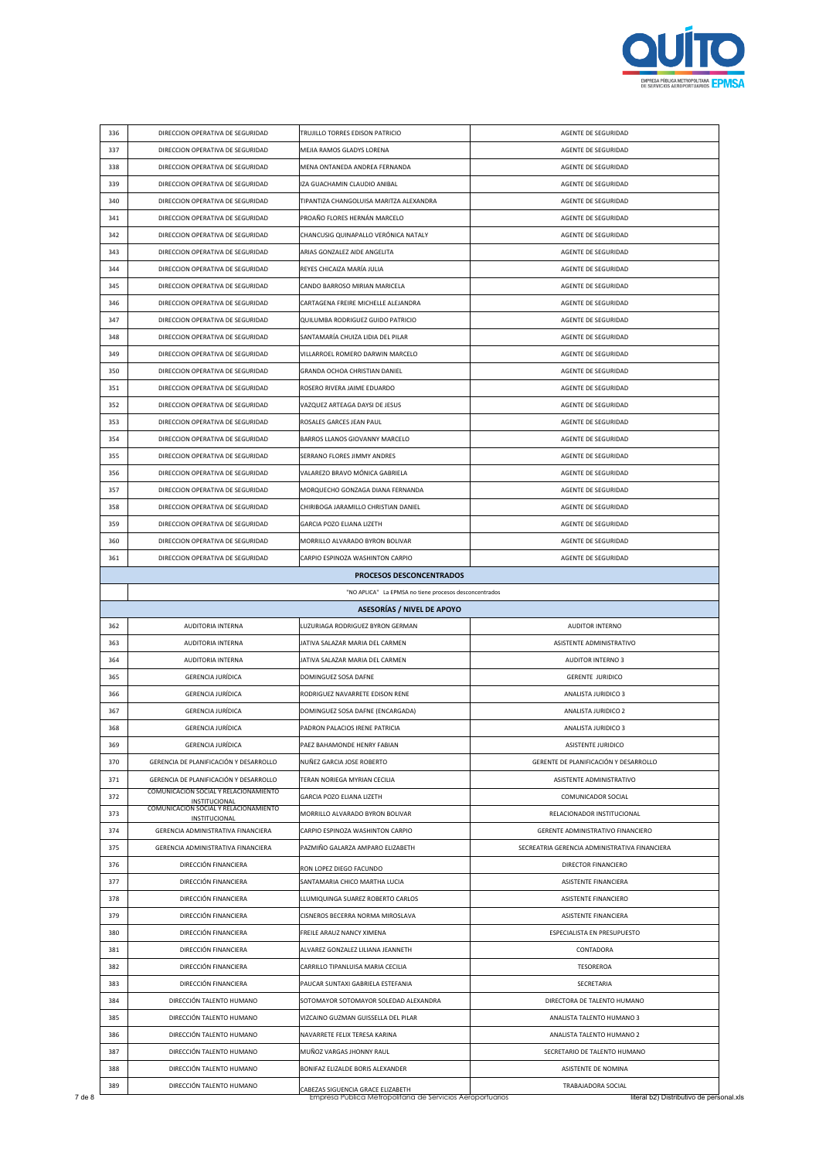

| 336 | DIRECCION OPERATIVA DE SEGURIDAD                       | TRUJILLO TORRES EDISON PATRICIO                        | AGENTE DE SEGURIDAD                           |
|-----|--------------------------------------------------------|--------------------------------------------------------|-----------------------------------------------|
| 337 | DIRECCION OPERATIVA DE SEGURIDAD                       | MEJIA RAMOS GLADYS LORENA                              | AGENTE DE SEGURIDAD                           |
| 338 | DIRECCION OPERATIVA DE SEGURIDAD                       | MENA ONTANEDA ANDREA FERNANDA                          | AGENTE DE SEGURIDAD                           |
| 339 | DIRECCION OPERATIVA DE SEGURIDAD                       | IZA GUACHAMIN CLAUDIO ANIBAL                           | AGENTE DE SEGURIDAD                           |
| 340 | DIRECCION OPERATIVA DE SEGURIDAD                       | TIPANTIZA CHANGOLUISA MARITZA ALEXANDRA                | AGENTE DE SEGURIDAD                           |
| 341 | DIRECCION OPERATIVA DE SEGURIDAD                       | PROAÑO FLORES HERNÁN MARCELO                           | AGENTE DE SEGURIDAD                           |
| 342 | DIRECCION OPERATIVA DE SEGURIDAD                       | CHANCUSIG QUINAPALLO VERÓNICA NATALY                   | AGENTE DE SEGURIDAD                           |
| 343 | DIRECCION OPERATIVA DE SEGURIDAD                       | ARIAS GONZALEZ AIDE ANGELITA                           | AGENTE DE SEGURIDAD                           |
| 344 | DIRECCION OPERATIVA DE SEGURIDAD                       | REYES CHICAIZA MARÍA JULIA                             | AGENTE DE SEGURIDAD                           |
| 345 | DIRECCION OPERATIVA DE SEGURIDAD                       | CANDO BARROSO MIRIAN MARICELA                          | AGENTE DE SEGURIDAD                           |
| 346 | DIRECCION OPERATIVA DE SEGURIDAD                       | CARTAGENA FREIRE MICHELLE ALEJANDRA                    | AGENTE DE SEGURIDAD                           |
| 347 | DIRECCION OPERATIVA DE SEGURIDAD                       | QUILUMBA RODRIGUEZ GUIDO PATRICIO                      | AGENTE DE SEGURIDAD                           |
| 348 | DIRECCION OPERATIVA DE SEGURIDAD                       | SANTAMARÍA CHUIZA LIDIA DEL PILAR                      | AGENTE DE SEGURIDAD                           |
|     |                                                        |                                                        |                                               |
| 349 | DIRECCION OPERATIVA DE SEGURIDAD                       | VILLARROEL ROMERO DARWIN MARCELO                       | AGENTE DE SEGURIDAD                           |
| 350 | DIRECCION OPERATIVA DE SEGURIDAD                       | GRANDA OCHOA CHRISTIAN DANIEL                          | AGENTE DE SEGURIDAD                           |
| 351 | DIRECCION OPERATIVA DE SEGURIDAD                       | ROSERO RIVERA JAIME EDUARDO                            | AGENTE DE SEGURIDAD                           |
| 352 | DIRECCION OPERATIVA DE SEGURIDAD                       | VAZQUEZ ARTEAGA DAYSI DE JESUS                         | AGENTE DE SEGURIDAD                           |
| 353 | DIRECCION OPERATIVA DE SEGURIDAD                       | ROSALES GARCES JEAN PAUL                               | AGENTE DE SEGURIDAD                           |
| 354 | DIRECCION OPERATIVA DE SEGURIDAD                       | BARROS LLANOS GIOVANNY MARCELO                         | AGENTE DE SEGURIDAD                           |
| 355 | DIRECCION OPERATIVA DE SEGURIDAD                       | SERRANO FLORES JIMMY ANDRES                            | AGENTE DE SEGURIDAD                           |
| 356 | DIRECCION OPERATIVA DE SEGURIDAD                       | VALAREZO BRAVO MÓNICA GABRIELA                         | AGENTE DE SEGURIDAD                           |
| 357 | DIRECCION OPERATIVA DE SEGURIDAD                       | MORQUECHO GONZAGA DIANA FERNANDA                       | AGENTE DE SEGURIDAD                           |
| 358 | DIRECCION OPERATIVA DE SEGURIDAD                       | CHIRIBOGA JARAMILLO CHRISTIAN DANIEL                   | AGENTE DE SEGURIDAD                           |
| 359 | DIRECCION OPERATIVA DE SEGURIDAD                       | GARCIA POZO ELIANA LIZETH                              | AGENTE DE SEGURIDAD                           |
| 360 | DIRECCION OPERATIVA DE SEGURIDAD                       | MORRILLO ALVARADO BYRON BOLIVAR                        | AGENTE DE SEGURIDAD                           |
| 361 | DIRECCION OPERATIVA DE SEGURIDAD                       | CARPIO ESPINOZA WASHINTON CARPIO                       | AGENTE DE SEGURIDAD                           |
|     |                                                        |                                                        |                                               |
|     |                                                        | PROCESOS DESCONCENTRADOS                               |                                               |
|     |                                                        | "NO APLICA" La EPMSA no tiene procesos desconcentrados |                                               |
|     |                                                        | <b>ASESORÍAS / NIVEL DE APOYO</b>                      |                                               |
| 362 | AUDITORIA INTERNA                                      | LUZURIAGA RODRIGUEZ BYRON GERMAN                       | AUDITOR INTERNO                               |
| 363 | AUDITORIA INTERNA                                      | JATIVA SALAZAR MARIA DEL CARMEN                        | ASISTENTE ADMINISTRATIVO                      |
| 364 | <b>AUDITORIA INTERNA</b>                               | JATIVA SALAZAR MARIA DEL CARMEN                        | <b>AUDITOR INTERNO 3</b>                      |
| 365 | <b>GERENCIA JURÍDICA</b>                               | DOMINGUEZ SOSA DAFNE                                   | <b>GERENTE JURIDICO</b>                       |
| 366 | <b>GERENCIA JURÍDICA</b>                               | RODRIGUEZ NAVARRETE EDISON RENE                        | ANALISTA JURIDICO 3                           |
| 367 | GERENCIA JURÍDICA                                      | DOMINGUEZ SOSA DAFNE (ENCARGADA)                       | ANALISTA JURIDICO 2                           |
| 368 | GERENCIA JURÍDICA                                      | PADRON PALACIOS IRENE PATRICIA                         | ANALISTA JURIDICO 3                           |
| 369 | <b>GERENCIA JURÍDICA</b>                               | PAEZ BAHAMONDE HENRY FABIAN                            | <b>ASISTENTE JURIDICO</b>                     |
| 370 | GERENCIA DE PLANIFICACIÓN Y DESARROLLO                 | NUÑEZ GARCIA JOSE ROBERTO                              | GERENTE DE PLANIFICACIÓN Y DESARROLLO         |
|     | GERENCIA DE PLANIFICACIÓN Y DESARROLLO                 |                                                        |                                               |
| 371 | COMUNICACION SOCIAL Y RELACIONAMIENTO                  | TERAN NORIEGA MYRIAN CECILIA                           | ASISTENTE ADMINISTRATIVO                      |
| 372 | INSTITUCIONAL<br>COMUNICACION SOCIAL Y RELACIONAMIENTO | GARCIA POZO ELIANA LIZETH                              | COMUNICADOR SOCIAL                            |
| 373 | <b>INSTITUCIONAL</b>                                   | MORRILLO ALVARADO BYRON BOLIVAR                        | RELACIONADOR INSTITUCIONAL                    |
| 374 | GERENCIA ADMINISTRATIVA FINANCIERA                     | CARPIO ESPINOZA WASHINTON CARPIO                       | GERENTE ADMINISTRATIVO FINANCIERO             |
| 375 | GERENCIA ADMINISTRATIVA FINANCIERA                     | PAZMIÑO GALARZA AMPARO ELIZABETH                       | SECREATRIA GERENCIA ADMINISTRATIVA FINANCIERA |
| 376 | DIRECCIÓN FINANCIERA                                   | RON LOPEZ DIEGO FACUNDO                                | DIRECTOR FINANCIERO                           |
| 377 | DIRECCIÓN FINANCIERA                                   | SANTAMARIA CHICO MARTHA LUCIA                          | ASISTENTE FINANCIERA                          |
| 378 | DIRECCIÓN FINANCIERA                                   | LLUMIQUINGA SUAREZ ROBERTO CARLOS                      | <b>ASISTENTE FINANCIERO</b>                   |
| 379 | DIRECCIÓN FINANCIERA                                   | CISNEROS BECERRA NORMA MIROSLAVA                       | ASISTENTE FINANCIERA                          |
| 380 | DIRECCIÓN FINANCIERA                                   | FREILE ARAUZ NANCY XIMENA                              | ESPECIALISTA EN PRESUPUESTO                   |
| 381 | DIRECCIÓN FINANCIERA                                   | ALVAREZ GONZALEZ LILIANA JEANNETH                      | CONTADORA                                     |
| 382 | DIRECCIÓN FINANCIERA                                   | CARRILLO TIPANLUISA MARIA CECILIA                      | <b>TESOREROA</b>                              |
| 383 | DIRECCIÓN FINANCIERA                                   | PAUCAR SUNTAXI GABRIELA ESTEFANIA                      | SECRETARIA                                    |
| 384 | DIRECCIÓN TALENTO HUMANO                               | SOTOMAYOR SOTOMAYOR SOLEDAD ALEXANDRA                  | DIRECTORA DE TALENTO HUMANO                   |
| 385 | DIRECCIÓN TALENTO HUMANO                               | VIZCAINO GUZMAN GUISSELLA DEL PILAR                    | ANALISTA TALENTO HUMANO 3                     |
| 386 | DIRECCIÓN TALENTO HUMANO                               | NAVARRETE FELIX TERESA KARINA                          | ANALISTA TALENTO HUMANO 2                     |
| 387 | DIRECCIÓN TALENTO HUMANO                               | MUÑOZ VARGAS JHONNY RAUL                               | SECRETARIO DE TALENTO HUMANO                  |
| 388 | DIRECCIÓN TALENTO HUMANO                               | BONIFAZ ELIZALDE BORIS ALEXANDER                       | ASISTENTE DE NOMINA                           |